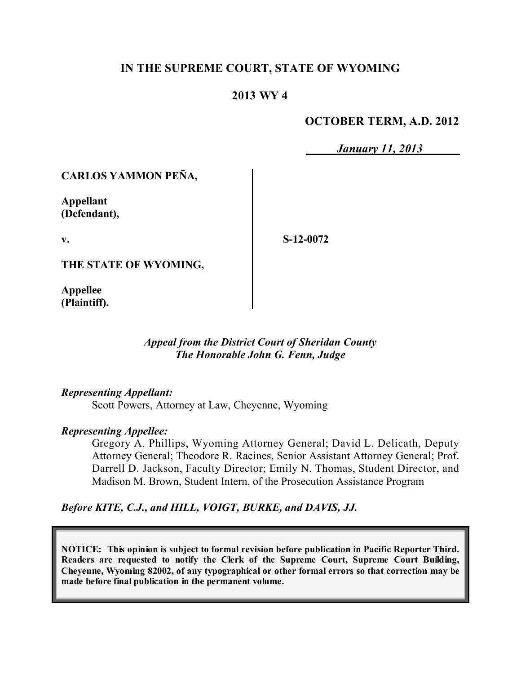### **IN THE SUPREME COURT, STATE OF WYOMING**

# **2013 WY 4**

### **OCTOBER TERM, A.D. 2012**

*January 11, 2013*

# **CARLOS YAMMON PEÑA,**

**Appellant (Defendant),**

**v.**

**S-12-0072**

**THE STATE OF WYOMING,**

**Appellee (Plaintiff).**

### *Appeal from the District Court of Sheridan County The Honorable John G. Fenn, Judge*

#### *Representing Appellant:*

Scott Powers, Attorney at Law, Cheyenne, Wyoming

#### *Representing Appellee:*

Gregory A. Phillips, Wyoming Attorney General; David L. Delicath, Deputy Attorney General; Theodore R. Racines, Senior Assistant Attorney General; Prof. Darrell D. Jackson, Faculty Director; Emily N. Thomas, Student Director, and Madison M. Brown, Student Intern, of the Prosecution Assistance Program

*Before KITE, C.J., and HILL, VOIGT, BURKE, and DAVIS, JJ.*

**NOTICE: This opinion is subject to formal revision before publication in Pacific Reporter Third. Readers are requested to notify the Clerk of the Supreme Court, Supreme Court Building, Cheyenne, Wyoming 82002, of any typographical or other formal errors so that correction may be made before final publication in the permanent volume.**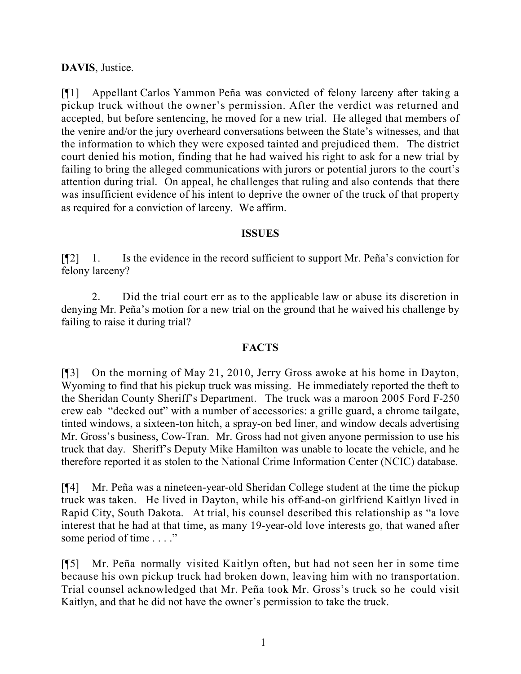# **DAVIS**, Justice.

[¶1] Appellant Carlos Yammon Peña was convicted of felony larceny after taking a pickup truck without the owner's permission. After the verdict was returned and accepted, but before sentencing, he moved for a new trial. He alleged that members of the venire and/or the jury overheard conversations between the State's witnesses, and that the information to which they were exposed tainted and prejudiced them. The district court denied his motion, finding that he had waived his right to ask for a new trial by failing to bring the alleged communications with jurors or potential jurors to the court's attention during trial. On appeal, he challenges that ruling and also contends that there was insufficient evidence of his intent to deprive the owner of the truck of that property as required for a conviction of larceny. We affirm.

#### **ISSUES**

[¶2] 1. Is the evidence in the record sufficient to support Mr. Peña's conviction for felony larceny?

2. Did the trial court err as to the applicable law or abuse its discretion in denying Mr. Peña's motion for a new trial on the ground that he waived his challenge by failing to raise it during trial?

### **FACTS**

[¶3] On the morning of May 21, 2010, Jerry Gross awoke at his home in Dayton, Wyoming to find that his pickup truck was missing. He immediately reported the theft to the Sheridan County Sheriff's Department. The truck was a maroon 2005 Ford F-250 crew cab "decked out" with a number of accessories: a grille guard, a chrome tailgate, tinted windows, a sixteen-ton hitch, a spray-on bed liner, and window decals advertising Mr. Gross's business, Cow-Tran. Mr. Gross had not given anyone permission to use his truck that day. Sheriff's Deputy Mike Hamilton was unable to locate the vehicle, and he therefore reported it as stolen to the National Crime Information Center (NCIC) database.

[¶4] Mr. Peña was a nineteen-year-old Sheridan College student at the time the pickup truck was taken. He lived in Dayton, while his off-and-on girlfriend Kaitlyn lived in Rapid City, South Dakota. At trial, his counsel described this relationship as "a love interest that he had at that time, as many 19-year-old love interests go, that waned after some period of time . . . ."

[¶5] Mr. Peña normally visited Kaitlyn often, but had not seen her in some time because his own pickup truck had broken down, leaving him with no transportation. Trial counsel acknowledged that Mr. Peña took Mr. Gross's truck so he could visit Kaitlyn, and that he did not have the owner's permission to take the truck.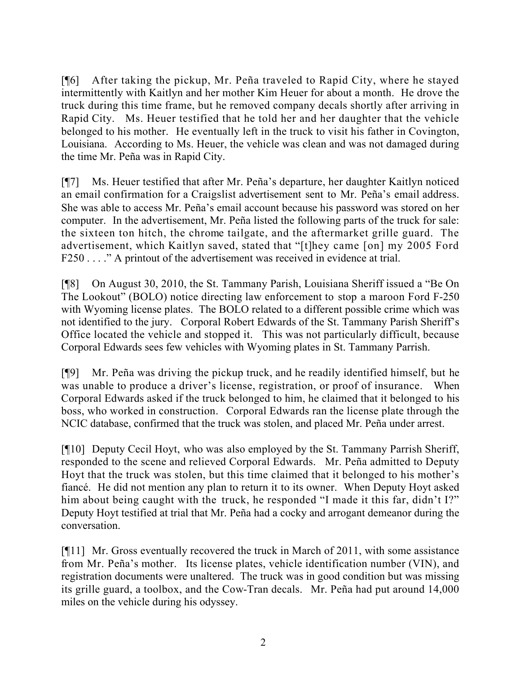[¶6] After taking the pickup, Mr. Peña traveled to Rapid City, where he stayed intermittently with Kaitlyn and her mother Kim Heuer for about a month. He drove the truck during this time frame, but he removed company decals shortly after arriving in Rapid City. Ms. Heuer testified that he told her and her daughter that the vehicle belonged to his mother. He eventually left in the truck to visit his father in Covington, Louisiana. According to Ms. Heuer, the vehicle was clean and was not damaged during the time Mr. Peña was in Rapid City.

[¶7] Ms. Heuer testified that after Mr. Peña's departure, her daughter Kaitlyn noticed an email confirmation for a Craigslist advertisement sent to Mr. Peña's email address. She was able to access Mr. Peña's email account because his password was stored on her computer. In the advertisement, Mr. Peña listed the following parts of the truck for sale: the sixteen ton hitch, the chrome tailgate, and the aftermarket grille guard. The advertisement, which Kaitlyn saved, stated that "[t]hey came [on] my 2005 Ford F250 . . . ." A printout of the advertisement was received in evidence at trial.

[¶8] On August 30, 2010, the St. Tammany Parish, Louisiana Sheriff issued a "Be On The Lookout" (BOLO) notice directing law enforcement to stop a maroon Ford F-250 with Wyoming license plates. The BOLO related to a different possible crime which was not identified to the jury. Corporal Robert Edwards of the St. Tammany Parish Sheriff's Office located the vehicle and stopped it. This was not particularly difficult, because Corporal Edwards sees few vehicles with Wyoming plates in St. Tammany Parrish.

[¶9] Mr. Peña was driving the pickup truck, and he readily identified himself, but he was unable to produce a driver's license, registration, or proof of insurance. When Corporal Edwards asked if the truck belonged to him, he claimed that it belonged to his boss, who worked in construction. Corporal Edwards ran the license plate through the NCIC database, confirmed that the truck was stolen, and placed Mr. Peña under arrest.

[¶10] Deputy Cecil Hoyt, who was also employed by the St. Tammany Parrish Sheriff, responded to the scene and relieved Corporal Edwards. Mr. Peña admitted to Deputy Hoyt that the truck was stolen, but this time claimed that it belonged to his mother's fiancé. He did not mention any plan to return it to its owner. When Deputy Hoyt asked him about being caught with the truck, he responded "I made it this far, didn't I?" Deputy Hoyt testified at trial that Mr. Peña had a cocky and arrogant demeanor during the conversation.

[¶11] Mr. Gross eventually recovered the truck in March of 2011, with some assistance from Mr. Peña's mother. Its license plates, vehicle identification number (VIN), and registration documents were unaltered. The truck was in good condition but was missing its grille guard, a toolbox, and the Cow-Tran decals. Mr. Peña had put around 14,000 miles on the vehicle during his odyssey.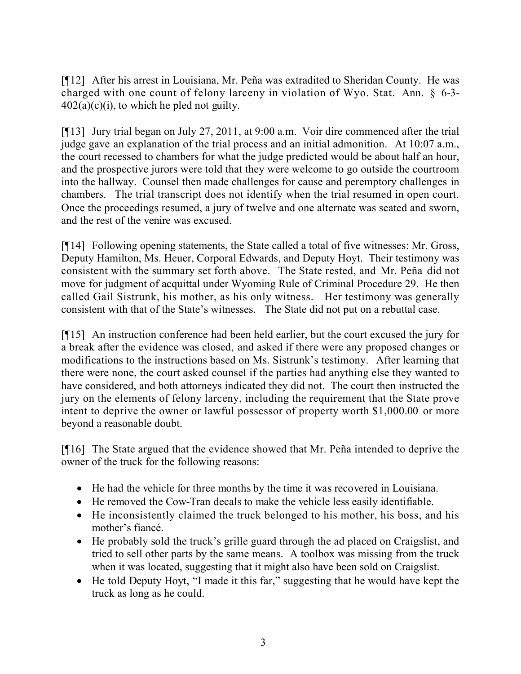[¶12] After his arrest in Louisiana, Mr. Peña was extradited to Sheridan County. He was charged with one count of felony larceny in violation of Wyo. Stat. Ann. § 6-3-  $402(a)(c)(i)$ , to which he pled not guilty.

[¶13] Jury trial began on July 27, 2011, at 9:00 a.m. Voir dire commenced after the trial judge gave an explanation of the trial process and an initial admonition. At 10:07 a.m., the court recessed to chambers for what the judge predicted would be about half an hour, and the prospective jurors were told that they were welcome to go outside the courtroom into the hallway. Counsel then made challenges for cause and peremptory challenges in chambers. The trial transcript does not identify when the trial resumed in open court. Once the proceedings resumed, a jury of twelve and one alternate was seated and sworn, and the rest of the venire was excused.

[¶14] Following opening statements, the State called a total of five witnesses: Mr. Gross, Deputy Hamilton, Ms. Heuer, Corporal Edwards, and Deputy Hoyt. Their testimony was consistent with the summary set forth above. The State rested, and Mr. Peña did not move for judgment of acquittal under Wyoming Rule of Criminal Procedure 29. He then called Gail Sistrunk, his mother, as his only witness. Her testimony was generally consistent with that of the State's witnesses. The State did not put on a rebuttal case.

[¶15] An instruction conference had been held earlier, but the court excused the jury for a break after the evidence was closed, and asked if there were any proposed changes or modifications to the instructions based on Ms. Sistrunk's testimony. After learning that there were none, the court asked counsel if the parties had anything else they wanted to have considered, and both attorneys indicated they did not. The court then instructed the jury on the elements of felony larceny, including the requirement that the State prove intent to deprive the owner or lawful possessor of property worth \$1,000.00 or more beyond a reasonable doubt.

[¶16] The State argued that the evidence showed that Mr. Peña intended to deprive the owner of the truck for the following reasons:

- He had the vehicle for three months by the time it was recovered in Louisiana.
- He removed the Cow-Tran decals to make the vehicle less easily identifiable.
- He inconsistently claimed the truck belonged to his mother, his boss, and his mother's fiancé.
- He probably sold the truck's grille guard through the ad placed on Craigslist, and tried to sell other parts by the same means. A toolbox was missing from the truck when it was located, suggesting that it might also have been sold on Craigslist.
- He told Deputy Hoyt, "I made it this far," suggesting that he would have kept the truck as long as he could.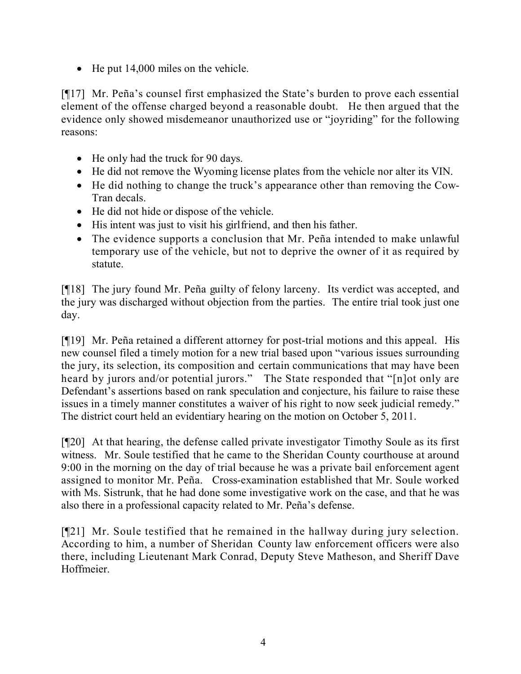• He put 14,000 miles on the vehicle.

[¶17] Mr. Peña's counsel first emphasized the State's burden to prove each essential element of the offense charged beyond a reasonable doubt. He then argued that the evidence only showed misdemeanor unauthorized use or "joyriding" for the following reasons:

- He only had the truck for 90 days.
- He did not remove the Wyoming license plates from the vehicle nor alter its VIN.
- He did nothing to change the truck's appearance other than removing the Cow-Tran decals.
- He did not hide or dispose of the vehicle.
- His intent was just to visit his girlfriend, and then his father.
- The evidence supports a conclusion that Mr. Peña intended to make unlawful temporary use of the vehicle, but not to deprive the owner of it as required by statute.

[¶18] The jury found Mr. Peña guilty of felony larceny. Its verdict was accepted, and the jury was discharged without objection from the parties. The entire trial took just one day.

[¶19] Mr. Peña retained a different attorney for post-trial motions and this appeal. His new counsel filed a timely motion for a new trial based upon "various issues surrounding the jury, its selection, its composition and certain communications that may have been heard by jurors and/or potential jurors." The State responded that "[n]ot only are Defendant's assertions based on rank speculation and conjecture, his failure to raise these issues in a timely manner constitutes a waiver of his right to now seek judicial remedy." The district court held an evidentiary hearing on the motion on October 5, 2011.

[¶20] At that hearing, the defense called private investigator Timothy Soule as its first witness. Mr. Soule testified that he came to the Sheridan County courthouse at around 9:00 in the morning on the day of trial because he was a private bail enforcement agent assigned to monitor Mr. Peña. Cross-examination established that Mr. Soule worked with Ms. Sistrunk, that he had done some investigative work on the case, and that he was also there in a professional capacity related to Mr. Peña's defense.

[¶21] Mr. Soule testified that he remained in the hallway during jury selection. According to him, a number of Sheridan County law enforcement officers were also there, including Lieutenant Mark Conrad, Deputy Steve Matheson, and Sheriff Dave Hoffmeier.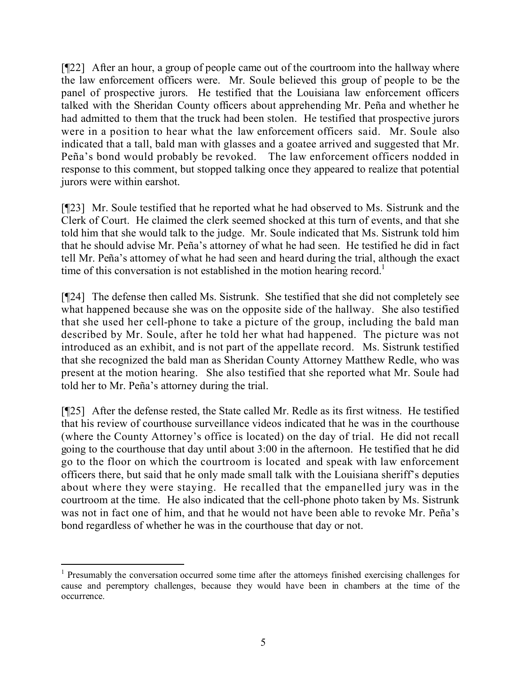[¶22] After an hour, a group of people came out of the courtroom into the hallway where the law enforcement officers were. Mr. Soule believed this group of people to be the panel of prospective jurors. He testified that the Louisiana law enforcement officers talked with the Sheridan County officers about apprehending Mr. Peña and whether he had admitted to them that the truck had been stolen. He testified that prospective jurors were in a position to hear what the law enforcement officers said. Mr. Soule also indicated that a tall, bald man with glasses and a goatee arrived and suggested that Mr. Peña's bond would probably be revoked. The law enforcement officers nodded in response to this comment, but stopped talking once they appeared to realize that potential jurors were within earshot.

[¶23] Mr. Soule testified that he reported what he had observed to Ms. Sistrunk and the Clerk of Court. He claimed the clerk seemed shocked at this turn of events, and that she told him that she would talk to the judge. Mr. Soule indicated that Ms. Sistrunk told him that he should advise Mr. Peña's attorney of what he had seen. He testified he did in fact tell Mr. Peña's attorney of what he had seen and heard during the trial, although the exact time of this conversation is not established in the motion hearing record.<sup>1</sup>

[¶24] The defense then called Ms. Sistrunk. She testified that she did not completely see what happened because she was on the opposite side of the hallway. She also testified that she used her cell-phone to take a picture of the group, including the bald man described by Mr. Soule, after he told her what had happened. The picture was not introduced as an exhibit, and is not part of the appellate record. Ms. Sistrunk testified that she recognized the bald man as Sheridan County Attorney Matthew Redle, who was present at the motion hearing. She also testified that she reported what Mr. Soule had told her to Mr. Peña's attorney during the trial.

[¶25] After the defense rested, the State called Mr. Redle as its first witness. He testified that his review of courthouse surveillance videos indicated that he was in the courthouse (where the County Attorney's office is located) on the day of trial. He did not recall going to the courthouse that day until about 3:00 in the afternoon. He testified that he did go to the floor on which the courtroom is located and speak with law enforcement officers there, but said that he only made small talk with the Louisiana sheriff's deputies about where they were staying. He recalled that the empanelled jury was in the courtroom at the time. He also indicated that the cell-phone photo taken by Ms. Sistrunk was not in fact one of him, and that he would not have been able to revoke Mr. Peña's bond regardless of whether he was in the courthouse that day or not.

 $\overline{a}$ <sup>1</sup> Presumably the conversation occurred some time after the attorneys finished exercising challenges for cause and peremptory challenges, because they would have been in chambers at the time of the occurrence.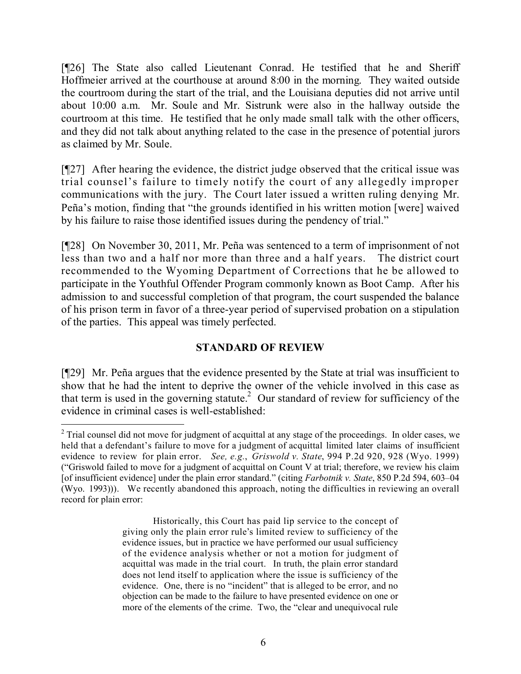[¶26] The State also called Lieutenant Conrad. He testified that he and Sheriff Hoffmeier arrived at the courthouse at around 8:00 in the morning. They waited outside the courtroom during the start of the trial, and the Louisiana deputies did not arrive until about 10:00 a.m. Mr. Soule and Mr. Sistrunk were also in the hallway outside the courtroom at this time. He testified that he only made small talk with the other officers, and they did not talk about anything related to the case in the presence of potential jurors as claimed by Mr. Soule.

[¶27] After hearing the evidence, the district judge observed that the critical issue was trial counsel's failure to timely notify the court of any allegedly improper communications with the jury. The Court later issued a written ruling denying Mr. Peña's motion, finding that "the grounds identified in his written motion [were] waived by his failure to raise those identified issues during the pendency of trial."

[¶28] On November 30, 2011, Mr. Peña was sentenced to a term of imprisonment of not less than two and a half nor more than three and a half years. The district court recommended to the Wyoming Department of Corrections that he be allowed to participate in the Youthful Offender Program commonly known as Boot Camp. After his admission to and successful completion of that program, the court suspended the balance of his prison term in favor of a three-year period of supervised probation on a stipulation of the parties. This appeal was timely perfected.

# **STANDARD OF REVIEW**

[¶29] Mr. Peña argues that the evidence presented by the State at trial was insufficient to show that he had the intent to deprive the owner of the vehicle involved in this case as that term is used in the governing statute.<sup>2</sup> Our standard of review for sufficiency of the evidence in criminal cases is well-established:

 $\overline{a}$ <sup>2</sup> Trial counsel did not move for judgment of acquittal at any stage of the proceedings. In older cases, we held that a defendant's failure to move for a judgment of acquittal limited later claims of insufficient evidence to review for plain error. *See, e.g.*, *Griswold v. State*, 994 P.2d 920, 928 (Wyo. 1999) ("Griswold failed to move for a judgment of acquittal on Count V at trial; therefore, we review his claim [of insufficient evidence] under the plain error standard." (citing *Farbotnik v. State*, 850 P.2d 594, 603–04 (Wyo. 1993))). We recently abandoned this approach, noting the difficulties in reviewing an overall record for plain error:

Historically, this Court has paid lip service to the concept of giving only the plain error rule's limited review to sufficiency of the evidence issues, but in practice we have performed our usual sufficiency of the evidence analysis whether or not a motion for judgment of acquittal was made in the trial court. In truth, the plain error standard does not lend itself to application where the issue is sufficiency of the evidence. One, there is no "incident" that is alleged to be error, and no objection can be made to the failure to have presented evidence on one or more of the elements of the crime. Two, the "clear and unequivocal rule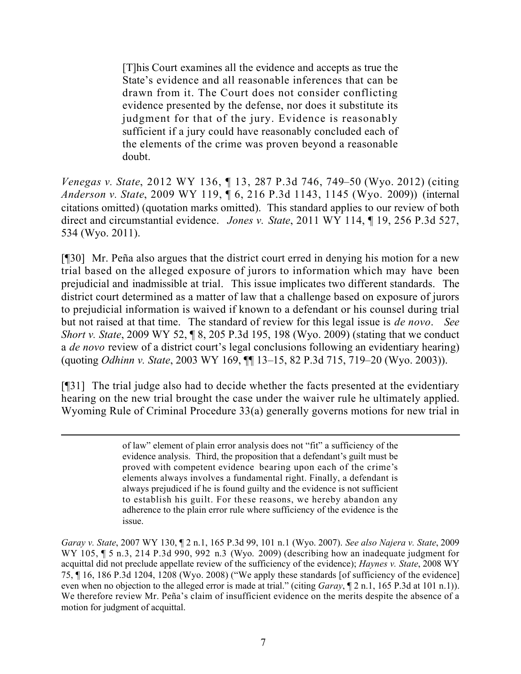[T]his Court examines all the evidence and accepts as true the State's evidence and all reasonable inferences that can be drawn from it. The Court does not consider conflicting evidence presented by the defense, nor does it substitute its judgment for that of the jury. Evidence is reasonably sufficient if a jury could have reasonably concluded each of the elements of the crime was proven beyond a reasonable doubt.

*Venegas v. State*, 2012 WY 136, ¶ 13, 287 P.3d 746, 749–50 (Wyo. 2012) (citing *Anderson v. State*, 2009 WY 119, ¶ 6, 216 P.3d 1143, 1145 (Wyo. 2009)) (internal citations omitted) (quotation marks omitted). This standard applies to our review of both direct and circumstantial evidence. *Jones v. State*, 2011 WY 114, ¶ 19, 256 P.3d 527, 534 (Wyo. 2011).

[¶30] Mr. Peña also argues that the district court erred in denying his motion for a new trial based on the alleged exposure of jurors to information which may have been prejudicial and inadmissible at trial. This issue implicates two different standards. The district court determined as a matter of law that a challenge based on exposure of jurors to prejudicial information is waived if known to a defendant or his counsel during trial but not raised at that time. The standard of review for this legal issue is *de novo*. *See Short v. State*, 2009 WY 52, ¶ 8, 205 P.3d 195, 198 (Wyo. 2009) (stating that we conduct a *de novo* review of a district court's legal conclusions following an evidentiary hearing) (quoting *Odhinn v. State*, 2003 WY 169, ¶¶ 13–15, 82 P.3d 715, 719–20 (Wyo. 2003)).

[¶31] The trial judge also had to decide whether the facts presented at the evidentiary hearing on the new trial brought the case under the waiver rule he ultimately applied. Wyoming Rule of Criminal Procedure 33(a) generally governs motions for new trial in

of law" element of plain error analysis does not "fit" a sufficiency of the evidence analysis. Third, the proposition that a defendant's guilt must be proved with competent evidence bearing upon each of the crime's elements always involves a fundamental right. Finally, a defendant is always prejudiced if he is found guilty and the evidence is not sufficient to establish his guilt. For these reasons, we hereby abandon any adherence to the plain error rule where sufficiency of the evidence is the issue.

*Garay v. State*, 2007 WY 130, ¶ 2 n.1, 165 P.3d 99, 101 n.1 (Wyo. 2007). *See also Najera v. State*, 2009 WY 105,  $\parallel$  5 n.3, 214 P.3d 990, 992 n.3 (Wyo. 2009) (describing how an inadequate judgment for acquittal did not preclude appellate review of the sufficiency of the evidence); *Haynes v. State*, 2008 WY 75, ¶ 16, 186 P.3d 1204, 1208 (Wyo. 2008) ("We apply these standards [of sufficiency of the evidence] even when no objection to the alleged error is made at trial." (citing *Garay*,  $[2 \text{ n.1}, 165 \text{ P.3d at 101 n.1})$ ). We therefore review Mr. Peña's claim of insufficient evidence on the merits despite the absence of a motion for judgment of acquittal.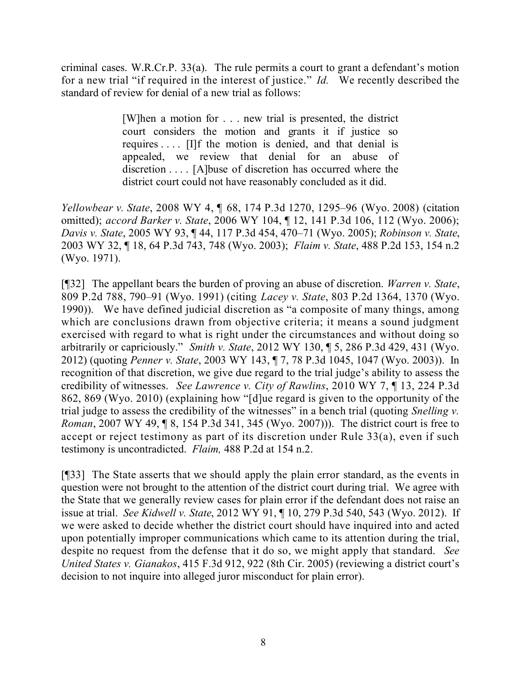criminal cases. W.R.Cr.P. 33(a). The rule permits a court to grant a defendant's motion for a new trial "if required in the interest of justice." *Id.* We recently described the standard of review for denial of a new trial as follows:

> [W]hen a motion for . . . new trial is presented, the district court considers the motion and grants it if justice so requires . . . . [I]f the motion is denied, and that denial is appealed, we review that denial for an abuse of discretion . . . . [A]buse of discretion has occurred where the district court could not have reasonably concluded as it did.

*Yellowbear v. State*, 2008 WY 4, ¶ 68, 174 P.3d 1270, 1295–96 (Wyo. 2008) (citation omitted); *accord Barker v. State*, 2006 WY 104, ¶ 12, 141 P.3d 106, 112 (Wyo. 2006); *Davis v. State*, 2005 WY 93, ¶ 44, 117 P.3d 454, 470–71 (Wyo. 2005); *Robinson v. State*, 2003 WY 32, ¶ 18, 64 P.3d 743, 748 (Wyo. 2003); *Flaim v. State*, 488 P.2d 153, 154 n.2 (Wyo. 1971).

[¶32] The appellant bears the burden of proving an abuse of discretion. *Warren v. State*, 809 P.2d 788, 790–91 (Wyo. 1991) (citing *Lacey v. State*, 803 P.2d 1364, 1370 (Wyo. 1990)). We have defined judicial discretion as "a composite of many things, among which are conclusions drawn from objective criteria; it means a sound judgment exercised with regard to what is right under the circumstances and without doing so arbitrarily or capriciously." *Smith v. State*, 2012 WY 130, ¶ 5, 286 P.3d 429, 431 (Wyo. 2012) (quoting *Penner v. State*, 2003 WY 143, ¶ 7, 78 P.3d 1045, 1047 (Wyo. 2003)). In recognition of that discretion, we give due regard to the trial judge's ability to assess the credibility of witnesses. *See Lawrence v. City of Rawlins*, 2010 WY 7, ¶ 13, 224 P.3d 862, 869 (Wyo. 2010) (explaining how "[d]ue regard is given to the opportunity of the trial judge to assess the credibility of the witnesses" in a bench trial (quoting *Snelling v. Roman*, 2007 WY 49, ¶ 8, 154 P.3d 341, 345 (Wyo. 2007))). The district court is free to accept or reject testimony as part of its discretion under Rule 33(a), even if such testimony is uncontradicted. *Flaim,* 488 P.2d at 154 n.2.

[¶33] The State asserts that we should apply the plain error standard, as the events in question were not brought to the attention of the district court during trial. We agree with the State that we generally review cases for plain error if the defendant does not raise an issue at trial. *See Kidwell v. State*, 2012 WY 91, ¶ 10, 279 P.3d 540, 543 (Wyo. 2012). If we were asked to decide whether the district court should have inquired into and acted upon potentially improper communications which came to its attention during the trial, despite no request from the defense that it do so, we might apply that standard. *See United States v. Gianakos*, 415 F.3d 912, 922 (8th Cir. 2005) (reviewing a district court's decision to not inquire into alleged juror misconduct for plain error).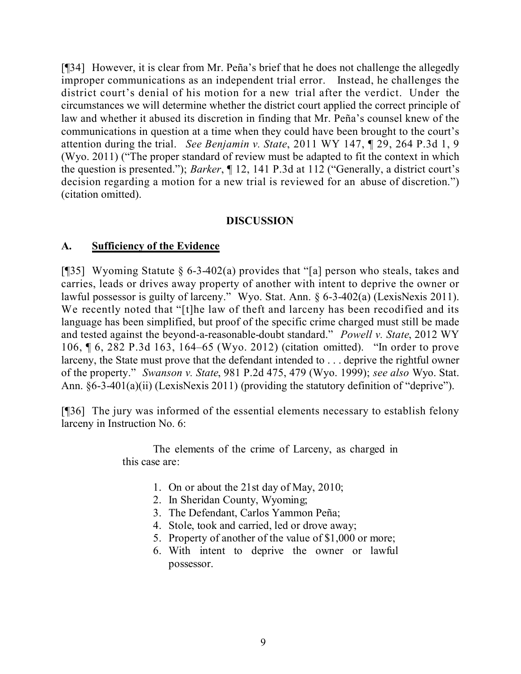[¶34] However, it is clear from Mr. Peña's brief that he does not challenge the allegedly improper communications as an independent trial error. Instead, he challenges the district court's denial of his motion for a new trial after the verdict. Under the circumstances we will determine whether the district court applied the correct principle of law and whether it abused its discretion in finding that Mr. Peña's counsel knew of the communications in question at a time when they could have been brought to the court's attention during the trial. *See Benjamin v. State*, 2011 WY 147, ¶ 29, 264 P.3d 1, 9 (Wyo. 2011) ("The proper standard of review must be adapted to fit the context in which the question is presented."); *Barker*, ¶ 12, 141 P.3d at 112 ("Generally, a district court's decision regarding a motion for a new trial is reviewed for an abuse of discretion.") (citation omitted).

# **DISCUSSION**

# **A. Sufficiency of the Evidence**

[¶35] Wyoming Statute § 6-3-402(a) provides that "[a] person who steals, takes and carries, leads or drives away property of another with intent to deprive the owner or lawful possessor is guilty of larceny." Wyo. Stat. Ann. § 6-3-402(a) (LexisNexis 2011). We recently noted that "[t]he law of theft and larceny has been recodified and its language has been simplified, but proof of the specific crime charged must still be made and tested against the beyond-a-reasonable-doubt standard." *Powell v. State*, 2012 WY 106, ¶ 6, 282 P.3d 163, 164–65 (Wyo. 2012) (citation omitted). "In order to prove larceny, the State must prove that the defendant intended to . . . deprive the rightful owner of the property." *Swanson v. State*, 981 P.2d 475, 479 (Wyo. 1999); *see also* Wyo. Stat. Ann.  $\S6-3-401(a)(ii)$  (LexisNexis 2011) (providing the statutory definition of "deprive").

[¶36] The jury was informed of the essential elements necessary to establish felony larceny in Instruction No. 6:

> The elements of the crime of Larceny, as charged in this case are:

- 1. On or about the 21st day of May, 2010;
- 2. In Sheridan County, Wyoming;
- 3. The Defendant, Carlos Yammon Peña;
- 4. Stole, took and carried, led or drove away;
- 5. Property of another of the value of \$1,000 or more;
- 6. With intent to deprive the owner or lawful possessor.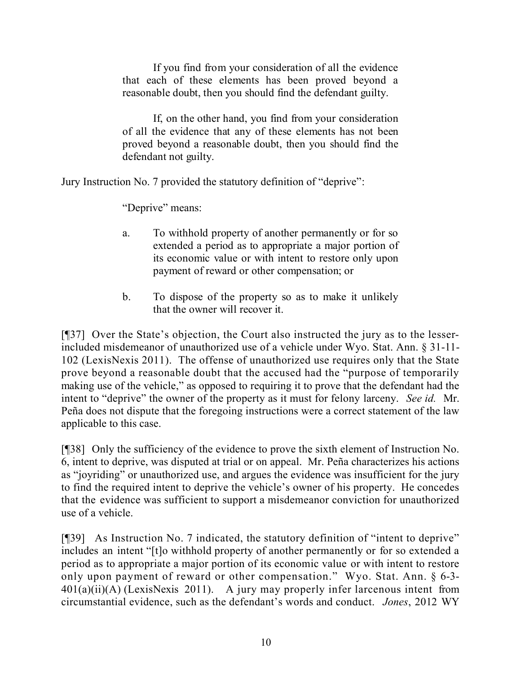If you find from your consideration of all the evidence that each of these elements has been proved beyond a reasonable doubt, then you should find the defendant guilty.

If, on the other hand, you find from your consideration of all the evidence that any of these elements has not been proved beyond a reasonable doubt, then you should find the defendant not guilty.

Jury Instruction No. 7 provided the statutory definition of "deprive":

"Deprive" means:

- a. To withhold property of another permanently or for so extended a period as to appropriate a major portion of its economic value or with intent to restore only upon payment of reward or other compensation; or
- b. To dispose of the property so as to make it unlikely that the owner will recover it.

[¶37] Over the State's objection, the Court also instructed the jury as to the lesserincluded misdemeanor of unauthorized use of a vehicle under Wyo. Stat. Ann. § 31-11- 102 (LexisNexis 2011). The offense of unauthorized use requires only that the State prove beyond a reasonable doubt that the accused had the "purpose of temporarily making use of the vehicle," as opposed to requiring it to prove that the defendant had the intent to "deprive" the owner of the property as it must for felony larceny. *See id.* Mr. Peña does not dispute that the foregoing instructions were a correct statement of the law applicable to this case.

[¶38] Only the sufficiency of the evidence to prove the sixth element of Instruction No. 6, intent to deprive, was disputed at trial or on appeal. Mr. Peña characterizes his actions as "joyriding" or unauthorized use, and argues the evidence was insufficient for the jury to find the required intent to deprive the vehicle's owner of his property. He concedes that the evidence was sufficient to support a misdemeanor conviction for unauthorized use of a vehicle.

[¶39] As Instruction No. 7 indicated, the statutory definition of "intent to deprive" includes an intent "[t]o withhold property of another permanently or for so extended a period as to appropriate a major portion of its economic value or with intent to restore only upon payment of reward or other compensation." Wyo. Stat. Ann. § 6-3-  $401(a)(ii)(A)$  (LexisNexis 2011). A jury may properly infer larcenous intent from circumstantial evidence, such as the defendant's words and conduct. *Jones*, 2012 WY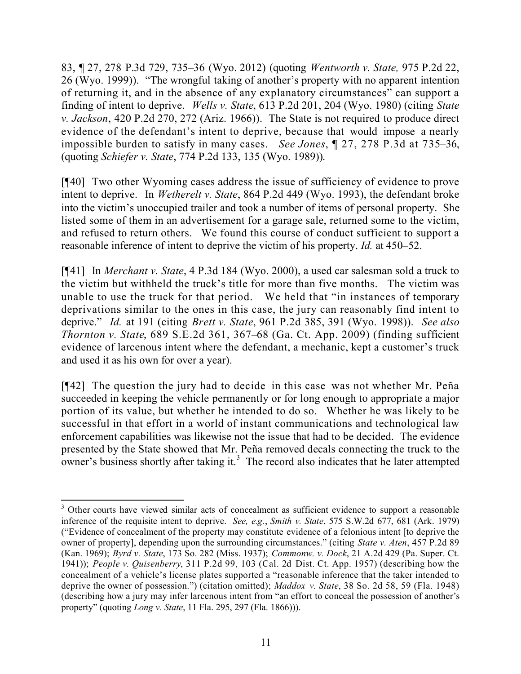83, ¶ 27, 278 P.3d 729, 735–36 (Wyo. 2012) (quoting *Wentworth v. State,* 975 P.2d 22, 26 (Wyo. 1999)). "The wrongful taking of another's property with no apparent intention of returning it, and in the absence of any explanatory circumstances" can support a finding of intent to deprive. *Wells v. State*, 613 P.2d 201, 204 (Wyo. 1980) (citing *State v. Jackson*, 420 P.2d 270, 272 (Ariz. 1966)). The State is not required to produce direct evidence of the defendant's intent to deprive, because that would impose a nearly impossible burden to satisfy in many cases. *See Jones*, ¶ 27, 278 P.3d at 735–36, (quoting *Schiefer v. State*, 774 P.2d 133, 135 (Wyo. 1989)).

[¶40] Two other Wyoming cases address the issue of sufficiency of evidence to prove intent to deprive. In *Wetherelt v. State*, 864 P.2d 449 (Wyo. 1993), the defendant broke into the victim's unoccupied trailer and took a number of items of personal property. She listed some of them in an advertisement for a garage sale, returned some to the victim, and refused to return others. We found this course of conduct sufficient to support a reasonable inference of intent to deprive the victim of his property. *Id.* at 450–52.

[¶41] In *Merchant v. State*, 4 P.3d 184 (Wyo. 2000), a used car salesman sold a truck to the victim but withheld the truck's title for more than five months. The victim was unable to use the truck for that period. We held that "in instances of temporary deprivations similar to the ones in this case, the jury can reasonably find intent to deprive." *Id.* at 191 (citing *Brett v. State*, 961 P.2d 385, 391 (Wyo. 1998)). *See also Thornton v. State*, 689 S.E.2d 361, 367–68 (Ga. Ct. App. 2009) (finding sufficient evidence of larcenous intent where the defendant, a mechanic, kept a customer's truck and used it as his own for over a year).

[¶42] The question the jury had to decide in this case was not whether Mr. Peña succeeded in keeping the vehicle permanently or for long enough to appropriate a major portion of its value, but whether he intended to do so. Whether he was likely to be successful in that effort in a world of instant communications and technological law enforcement capabilities was likewise not the issue that had to be decided. The evidence presented by the State showed that Mr. Peña removed decals connecting the truck to the owner's business shortly after taking it.<sup>3</sup> The record also indicates that he later attempted

 $\overline{a}$  $3$  Other courts have viewed similar acts of concealment as sufficient evidence to support a reasonable inference of the requisite intent to deprive. *See, e.g.*, *Smith v. State*, 575 S.W.2d 677, 681 (Ark. 1979) ("Evidence of concealment of the property may constitute evidence of a felonious intent [to deprive the owner of property], depending upon the surrounding circumstances." (citing *State v. Aten*, 457 P.2d 89 (Kan. 1969); *Byrd v. State*, 173 So. 282 (Miss. 1937); *Commonw. v. Dock*, 21 A.2d 429 (Pa. Super. Ct. 1941)); *People v. Quisenberry*, 311 P.2d 99, 103 (Cal. 2d Dist. Ct. App. 1957) (describing how the concealment of a vehicle's license plates supported a "reasonable inference that the taker intended to deprive the owner of possession.") (citation omitted); *Maddox v. State*, 38 So. 2d 58, 59 (Fla. 1948) (describing how a jury may infer larcenous intent from "an effort to conceal the possession of another's property" (quoting *Long v. State*, 11 Fla. 295, 297 (Fla. 1866))).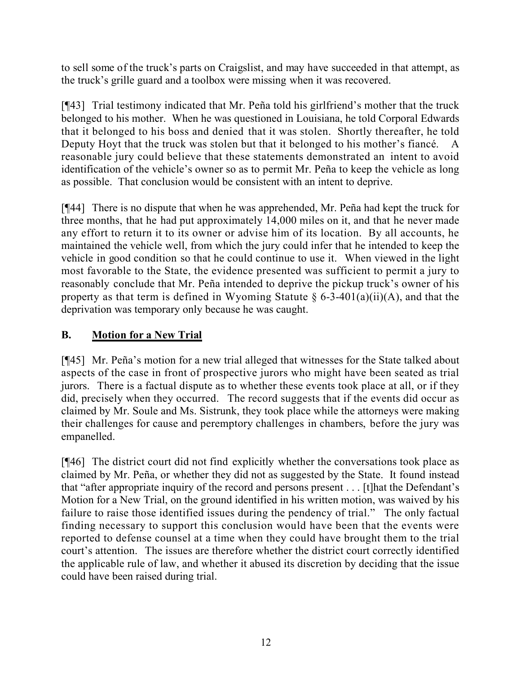to sell some of the truck's parts on Craigslist, and may have succeeded in that attempt, as the truck's grille guard and a toolbox were missing when it was recovered.

[¶43] Trial testimony indicated that Mr. Peña told his girlfriend's mother that the truck belonged to his mother. When he was questioned in Louisiana, he told Corporal Edwards that it belonged to his boss and denied that it was stolen. Shortly thereafter, he told Deputy Hoyt that the truck was stolen but that it belonged to his mother's fiancé. A reasonable jury could believe that these statements demonstrated an intent to avoid identification of the vehicle's owner so as to permit Mr. Peña to keep the vehicle as long as possible. That conclusion would be consistent with an intent to deprive.

[¶44] There is no dispute that when he was apprehended, Mr. Peña had kept the truck for three months, that he had put approximately 14,000 miles on it, and that he never made any effort to return it to its owner or advise him of its location. By all accounts, he maintained the vehicle well, from which the jury could infer that he intended to keep the vehicle in good condition so that he could continue to use it. When viewed in the light most favorable to the State, the evidence presented was sufficient to permit a jury to reasonably conclude that Mr. Peña intended to deprive the pickup truck's owner of his property as that term is defined in Wyoming Statute  $\S$  6-3-401(a)(ii)(A), and that the deprivation was temporary only because he was caught.

# **B. Motion for a New Trial**

[¶45] Mr. Peña's motion for a new trial alleged that witnesses for the State talked about aspects of the case in front of prospective jurors who might have been seated as trial jurors. There is a factual dispute as to whether these events took place at all, or if they did, precisely when they occurred. The record suggests that if the events did occur as claimed by Mr. Soule and Ms. Sistrunk, they took place while the attorneys were making their challenges for cause and peremptory challenges in chambers, before the jury was empanelled.

[¶46] The district court did not find explicitly whether the conversations took place as claimed by Mr. Peña, or whether they did not as suggested by the State. It found instead that "after appropriate inquiry of the record and persons present . . . [t]hat the Defendant's Motion for a New Trial, on the ground identified in his written motion, was waived by his failure to raise those identified issues during the pendency of trial." The only factual finding necessary to support this conclusion would have been that the events were reported to defense counsel at a time when they could have brought them to the trial court's attention. The issues are therefore whether the district court correctly identified the applicable rule of law, and whether it abused its discretion by deciding that the issue could have been raised during trial.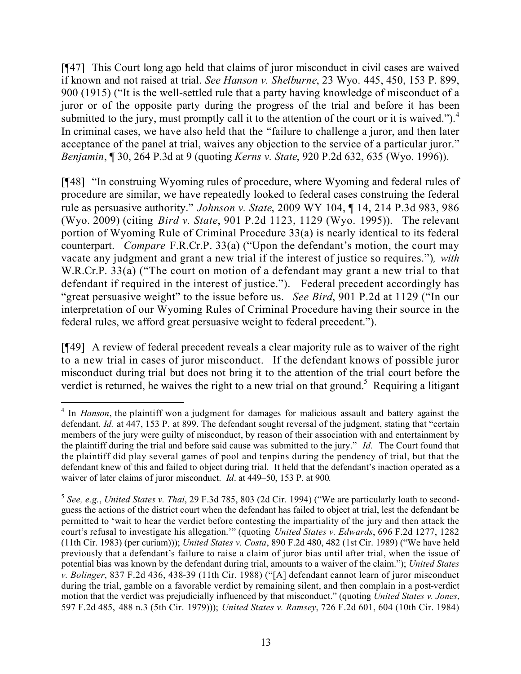[¶47] This Court long ago held that claims of juror misconduct in civil cases are waived if known and not raised at trial. *See Hanson v. Shelburne*, 23 Wyo. 445, 450, 153 P. 899, 900 (1915) ("It is the well-settled rule that a party having knowledge of misconduct of a juror or of the opposite party during the progress of the trial and before it has been submitted to the jury, must promptly call it to the attention of the court or it is waived.").<sup>4</sup> In criminal cases, we have also held that the "failure to challenge a juror, and then later acceptance of the panel at trial, waives any objection to the service of a particular juror." *Benjamin*, ¶ 30, 264 P.3d at 9 (quoting *Kerns v. State*, 920 P.2d 632, 635 (Wyo. 1996)).

[¶48] "In construing Wyoming rules of procedure, where Wyoming and federal rules of procedure are similar, we have repeatedly looked to federal cases construing the federal rule as persuasive authority." *Johnson v. State*, 2009 WY 104, ¶ 14, 214 P.3d 983, 986 (Wyo. 2009) (citing *Bird v. State*, 901 P.2d 1123, 1129 (Wyo. 1995)). The relevant portion of Wyoming Rule of Criminal Procedure 33(a) is nearly identical to its federal counterpart. *Compare* F.R.Cr.P. 33(a) ("Upon the defendant's motion, the court may vacate any judgment and grant a new trial if the interest of justice so requires.")*, with*  W.R.Cr.P. 33(a) ("The court on motion of a defendant may grant a new trial to that defendant if required in the interest of justice."). Federal precedent accordingly has "great persuasive weight" to the issue before us. *See Bird*, 901 P.2d at 1129 ("In our interpretation of our Wyoming Rules of Criminal Procedure having their source in the federal rules, we afford great persuasive weight to federal precedent.").

[¶49] A review of federal precedent reveals a clear majority rule as to waiver of the right to a new trial in cases of juror misconduct. If the defendant knows of possible juror misconduct during trial but does not bring it to the attention of the trial court before the verdict is returned, he waives the right to a new trial on that ground.<sup>5</sup> Requiring a litigant

 <sup>4</sup> In *Hanson*, the plaintiff won a judgment for damages for malicious assault and battery against the defendant. *Id.* at 447, 153 P. at 899. The defendant sought reversal of the judgment, stating that "certain" members of the jury were guilty of misconduct, by reason of their association with and entertainment by the plaintiff during the trial and before said cause was submitted to the jury." *Id.* The Court found that the plaintiff did play several games of pool and tenpins during the pendency of trial, but that the defendant knew of this and failed to object during trial. It held that the defendant's inaction operated as a waiver of later claims of juror misconduct. *Id*. at 449–50, 153 P. at 900*.* 

<sup>5</sup> *See, e.g.*, *United States v. Thai*, 29 F.3d 785, 803 (2d Cir. 1994) ("We are particularly loath to secondguess the actions of the district court when the defendant has failed to object at trial, lest the defendant be permitted to 'wait to hear the verdict before contesting the impartiality of the jury and then attack the court's refusal to investigate his allegation.'" (quoting *United States v. Edwards*, 696 F.2d 1277, 1282 (11th Cir. 1983) (per curiam))); *United States v. Costa*, 890 F.2d 480, 482 (1st Cir. 1989) ("We have held previously that a defendant's failure to raise a claim of juror bias until after trial, when the issue of potential bias was known by the defendant during trial, amounts to a waiver of the claim."); *United States v. Bolinger*, 837 F.2d 436, 438-39 (11th Cir. 1988) ("[A] defendant cannot learn of juror misconduct during the trial, gamble on a favorable verdict by remaining silent, and then complain in a post-verdict motion that the verdict was prejudicially influenced by that misconduct." (quoting *United States v. Jones*, 597 F.2d 485, 488 n.3 (5th Cir. 1979))); *United States v. Ramsey*, 726 F.2d 601, 604 (10th Cir. 1984)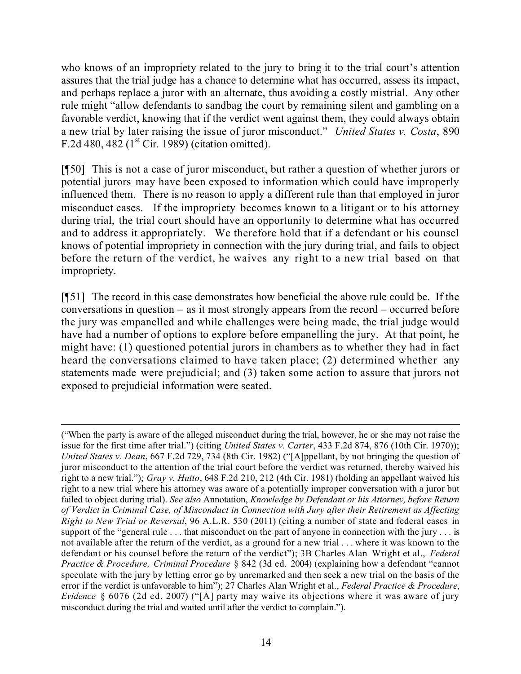who knows of an impropriety related to the jury to bring it to the trial court's attention assures that the trial judge has a chance to determine what has occurred, assess its impact, and perhaps replace a juror with an alternate, thus avoiding a costly mistrial. Any other rule might "allow defendants to sandbag the court by remaining silent and gambling on a favorable verdict, knowing that if the verdict went against them, they could always obtain a new trial by later raising the issue of juror misconduct." *United States v. Costa*, 890 F.2d 480, 482  $(1<sup>st</sup> Cir. 1989)$  (citation omitted).

[¶50] This is not a case of juror misconduct, but rather a question of whether jurors or potential jurors may have been exposed to information which could have improperly influenced them. There is no reason to apply a different rule than that employed in juror misconduct cases. If the impropriety becomes known to a litigant or to his attorney during trial, the trial court should have an opportunity to determine what has occurred and to address it appropriately. We therefore hold that if a defendant or his counsel knows of potential impropriety in connection with the jury during trial, and fails to object before the return of the verdict, he waives any right to a new trial based on that impropriety.

[¶51] The record in this case demonstrates how beneficial the above rule could be. If the conversations in question – as it most strongly appears from the record – occurred before the jury was empanelled and while challenges were being made, the trial judge would have had a number of options to explore before empanelling the jury. At that point, he might have: (1) questioned potential jurors in chambers as to whether they had in fact heard the conversations claimed to have taken place; (2) determined whether any statements made were prejudicial; and (3) taken some action to assure that jurors not exposed to prejudicial information were seated.

 $\overline{a}$ ("When the party is aware of the alleged misconduct during the trial, however, he or she may not raise the issue for the first time after trial.") (citing *United States v. Carter*, 433 F.2d 874, 876 (10th Cir. 1970)); *United States v. Dean*, 667 F.2d 729, 734 (8th Cir. 1982) ("[A]ppellant, by not bringing the question of juror misconduct to the attention of the trial court before the verdict was returned, thereby waived his right to a new trial."); *Gray v. Hutto*, 648 F.2d 210, 212 (4th Cir. 1981) (holding an appellant waived his right to a new trial where his attorney was aware of a potentially improper conversation with a juror but failed to object during trial). *See also* Annotation, *Knowledge by Defendant or his Attorney, before Return of Verdict in Criminal Case, of Misconduct in Connection with Jury after their Retirement as Affecting Right to New Trial or Reversal*, 96 A.L.R. 530 (2011) (citing a number of state and federal cases in support of the "general rule . . . that misconduct on the part of anyone in connection with the jury . . . is not available after the return of the verdict, as a ground for a new trial . . . where it was known to the defendant or his counsel before the return of the verdict"); 3B Charles Alan Wright et al., *Federal Practice & Procedure, Criminal Procedure* § 842 (3d ed. 2004) (explaining how a defendant "cannot speculate with the jury by letting error go by unremarked and then seek a new trial on the basis of the error if the verdict is unfavorable to him"); 27 Charles Alan Wright et al., *Federal Practice & Procedure*, *Evidence* § 6076 (2d ed. 2007) ("[A] party may waive its objections where it was aware of jury misconduct during the trial and waited until after the verdict to complain.").